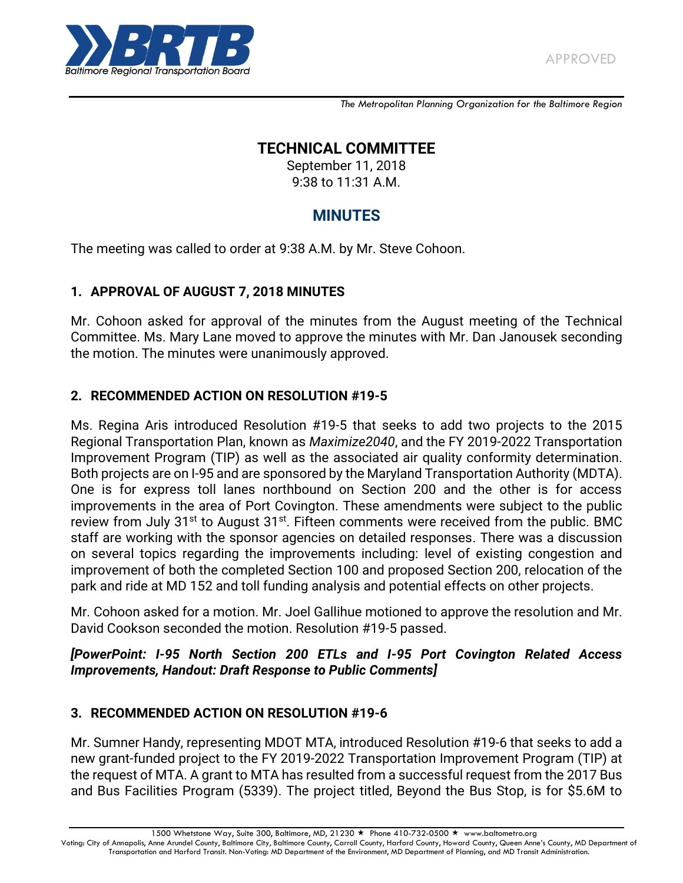

*The Metropolitan Planning Organization for the Baltimore Region*

# **TECHNICAL COMMITTEE**

September 11, 2018 9:38 to 11:31 A.M.

# **MINUTES**

The meeting was called to order at 9:38 A.M. by Mr. Steve Cohoon.

#### **1. APPROVAL OF AUGUST 7, 2018 MINUTES**

Mr. Cohoon asked for approval of the minutes from the August meeting of the Technical Committee. Ms. Mary Lane moved to approve the minutes with Mr. Dan Janousek seconding the motion. The minutes were unanimously approved.

## **2. RECOMMENDED ACTION ON RESOLUTION #19-5**

Ms. Regina Aris introduced Resolution #19-5 that seeks to add two projects to the 2015 Regional Transportation Plan, known as *Maximize2040*, and the FY 2019-2022 Transportation Improvement Program (TIP) as well as the associated air quality conformity determination. Both projects are on I-95 and are sponsored by the Maryland Transportation Authority (MDTA). One is for express toll lanes northbound on Section 200 and the other is for access improvements in the area of Port Covington. These amendments were subject to the public review from July 31<sup>st</sup> to August 31<sup>st</sup>. Fifteen comments were received from the public. BMC staff are working with the sponsor agencies on detailed responses. There was a discussion on several topics regarding the improvements including: level of existing congestion and improvement of both the completed Section 100 and proposed Section 200, relocation of the park and ride at MD 152 and toll funding analysis and potential effects on other projects.

Mr. Cohoon asked for a motion. Mr. Joel Gallihue motioned to approve the resolution and Mr. David Cookson seconded the motion. Resolution #19-5 passed.

#### *[PowerPoint: I-95 North Section 200 ETLs and I-95 Port Covington Related Access Improvements, Handout: Draft Response to Public Comments]*

#### **3. RECOMMENDED ACTION ON RESOLUTION #19-6**

Mr. Sumner Handy, representing MDOT MTA, introduced Resolution #19-6 that seeks to add a new grant-funded project to the FY 2019-2022 Transportation Improvement Program (TIP) at the request of MTA. A grant to MTA has resulted from a successful request from the 2017 Bus and Bus Facilities Program (5339). The project titled, Beyond the Bus Stop, is for \$5.6M to

1500 Whetstone Way, Suite 300, Baltimore, MD, 21230 ★ Phone 410-732-0500 ★ www.baltometro.org

Voting: City of Annapolis, Anne Arundel County, Baltimore City, Baltimore County, Carroll County, Harford County, Howard County, Queen Anne's County, MD Department of Transportation and Harford Transit. Non-Voting: MD Department of the Environment, MD Department of Planning, and MD Transit Administration.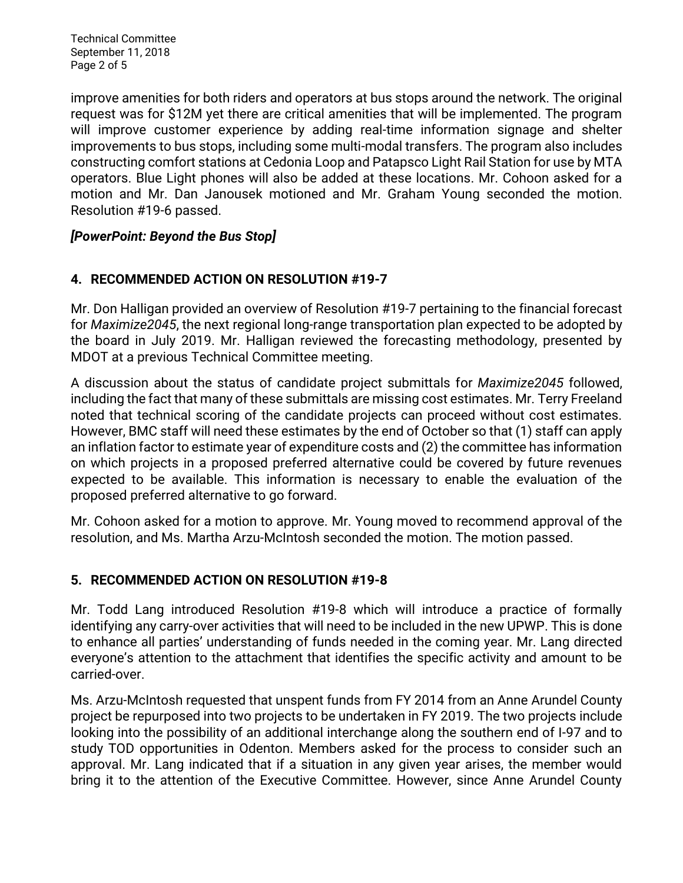Technical Committee September 11, 2018 Page 2 of 5

improve amenities for both riders and operators at bus stops around the network. The original request was for \$12M yet there are critical amenities that will be implemented. The program will improve customer experience by adding real-time information signage and shelter improvements to bus stops, including some multi-modal transfers. The program also includes constructing comfort stations at Cedonia Loop and Patapsco Light Rail Station for use by MTA operators. Blue Light phones will also be added at these locations. Mr. Cohoon asked for a motion and Mr. Dan Janousek motioned and Mr. Graham Young seconded the motion. Resolution #19-6 passed.

#### *[PowerPoint: Beyond the Bus Stop]*

## **4. RECOMMENDED ACTION ON RESOLUTION #19-7**

Mr. Don Halligan provided an overview of Resolution #19-7 pertaining to the financial forecast for *Maximize2045*, the next regional long-range transportation plan expected to be adopted by the board in July 2019. Mr. Halligan reviewed the forecasting methodology, presented by MDOT at a previous Technical Committee meeting.

A discussion about the status of candidate project submittals for *Maximize2045* followed, including the fact that many of these submittals are missing cost estimates. Mr. Terry Freeland noted that technical scoring of the candidate projects can proceed without cost estimates. However, BMC staff will need these estimates by the end of October so that (1) staff can apply an inflation factor to estimate year of expenditure costs and (2) the committee has information on which projects in a proposed preferred alternative could be covered by future revenues expected to be available. This information is necessary to enable the evaluation of the proposed preferred alternative to go forward.

Mr. Cohoon asked for a motion to approve. Mr. Young moved to recommend approval of the resolution, and Ms. Martha Arzu-McIntosh seconded the motion. The motion passed.

#### **5. RECOMMENDED ACTION ON RESOLUTION #19-8**

Mr. Todd Lang introduced Resolution #19-8 which will introduce a practice of formally identifying any carry-over activities that will need to be included in the new UPWP. This is done to enhance all parties' understanding of funds needed in the coming year. Mr. Lang directed everyone's attention to the attachment that identifies the specific activity and amount to be carried-over.

Ms. Arzu-McIntosh requested that unspent funds from FY 2014 from an Anne Arundel County project be repurposed into two projects to be undertaken in FY 2019. The two projects include looking into the possibility of an additional interchange along the southern end of I-97 and to study TOD opportunities in Odenton. Members asked for the process to consider such an approval. Mr. Lang indicated that if a situation in any given year arises, the member would bring it to the attention of the Executive Committee. However, since Anne Arundel County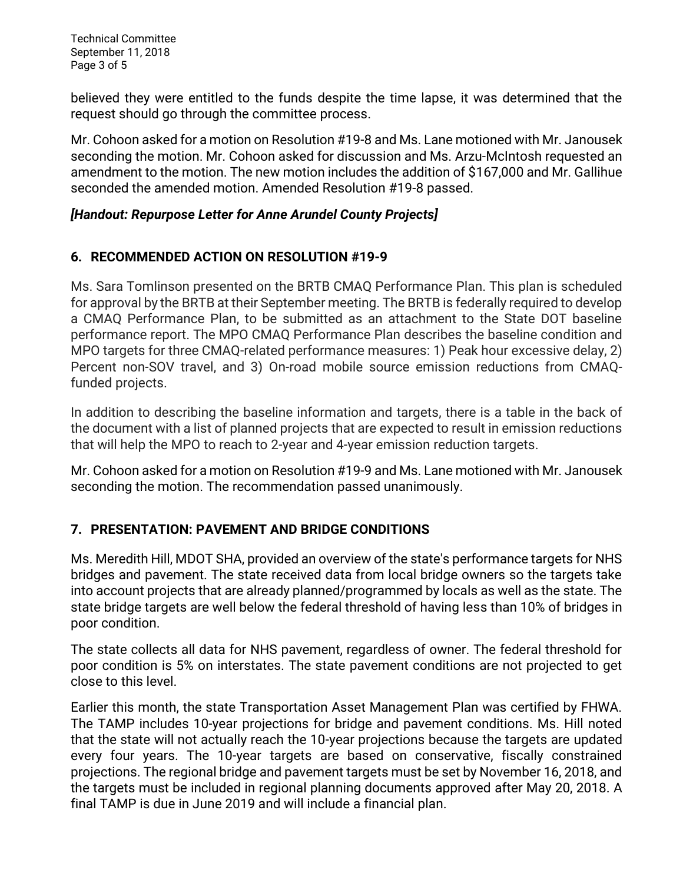Technical Committee September 11, 2018 Page 3 of 5

believed they were entitled to the funds despite the time lapse, it was determined that the request should go through the committee process.

Mr. Cohoon asked for a motion on Resolution #19-8 and Ms. Lane motioned with Mr. Janousek seconding the motion. Mr. Cohoon asked for discussion and Ms. Arzu-McIntosh requested an amendment to the motion. The new motion includes the addition of \$167,000 and Mr. Gallihue seconded the amended motion. Amended Resolution #19-8 passed.

#### *[Handout: Repurpose Letter for Anne Arundel County Projects]*

## **6. RECOMMENDED ACTION ON RESOLUTION #19-9**

Ms. Sara Tomlinson presented on the BRTB CMAQ Performance Plan. This plan is scheduled for approval by the BRTB at their September meeting. The BRTB is federally required to develop a CMAQ Performance Plan, to be submitted as an attachment to the State DOT baseline performance report. The MPO CMAQ Performance Plan describes the baseline condition and MPO targets for three CMAQ-related performance measures: 1) Peak hour excessive delay, 2) Percent non-SOV travel, and 3) On-road mobile source emission reductions from CMAQfunded projects.

In addition to describing the baseline information and targets, there is a table in the back of the document with a list of planned projects that are expected to result in emission reductions that will help the MPO to reach to 2-year and 4-year emission reduction targets.

Mr. Cohoon asked for a motion on Resolution #19-9 and Ms. Lane motioned with Mr. Janousek seconding the motion. The recommendation passed unanimously.

## **7. PRESENTATION: PAVEMENT AND BRIDGE CONDITIONS**

Ms. Meredith Hill, MDOT SHA, provided an overview of the state's performance targets for NHS bridges and pavement. The state received data from local bridge owners so the targets take into account projects that are already planned/programmed by locals as well as the state. The state bridge targets are well below the federal threshold of having less than 10% of bridges in poor condition.

The state collects all data for NHS pavement, regardless of owner. The federal threshold for poor condition is 5% on interstates. The state pavement conditions are not projected to get close to this level.

Earlier this month, the state Transportation Asset Management Plan was certified by FHWA. The TAMP includes 10-year projections for bridge and pavement conditions. Ms. Hill noted that the state will not actually reach the 10-year projections because the targets are updated every four years. The 10-year targets are based on conservative, fiscally constrained projections. The regional bridge and pavement targets must be set by November 16, 2018, and the targets must be included in regional planning documents approved after May 20, 2018. A final TAMP is due in June 2019 and will include a financial plan.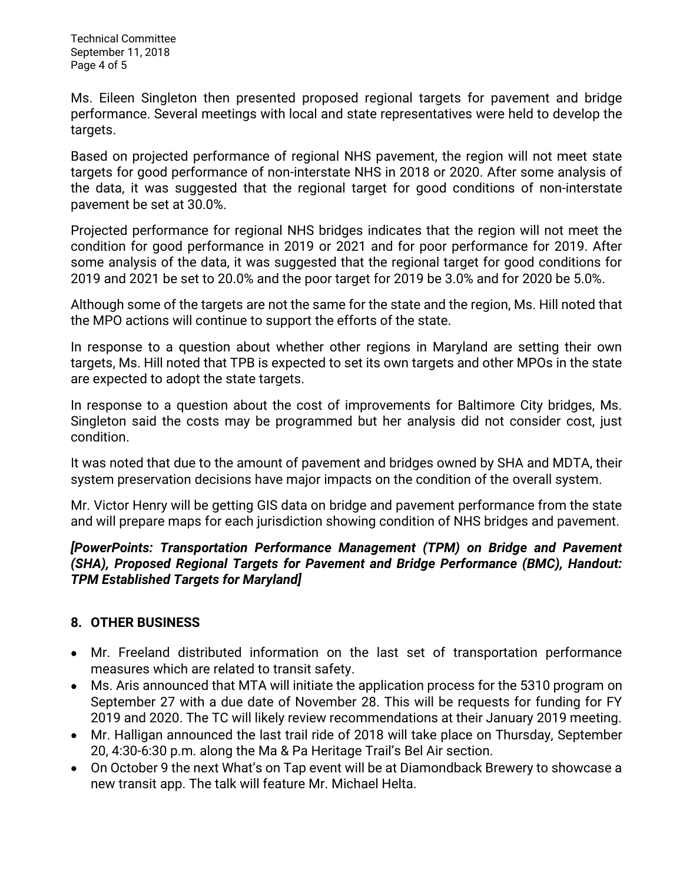Technical Committee September 11, 2018 Page 4 of 5

Ms. Eileen Singleton then presented proposed regional targets for pavement and bridge performance. Several meetings with local and state representatives were held to develop the targets.

Based on projected performance of regional NHS pavement, the region will not meet state targets for good performance of non-interstate NHS in 2018 or 2020. After some analysis of the data, it was suggested that the regional target for good conditions of non-interstate pavement be set at 30.0%.

Projected performance for regional NHS bridges indicates that the region will not meet the condition for good performance in 2019 or 2021 and for poor performance for 2019. After some analysis of the data, it was suggested that the regional target for good conditions for 2019 and 2021 be set to 20.0% and the poor target for 2019 be 3.0% and for 2020 be 5.0%.

Although some of the targets are not the same for the state and the region, Ms. Hill noted that the MPO actions will continue to support the efforts of the state.

In response to a question about whether other regions in Maryland are setting their own targets, Ms. Hill noted that TPB is expected to set its own targets and other MPOs in the state are expected to adopt the state targets.

In response to a question about the cost of improvements for Baltimore City bridges, Ms. Singleton said the costs may be programmed but her analysis did not consider cost, just condition.

It was noted that due to the amount of pavement and bridges owned by SHA and MDTA, their system preservation decisions have major impacts on the condition of the overall system.

Mr. Victor Henry will be getting GIS data on bridge and pavement performance from the state and will prepare maps for each jurisdiction showing condition of NHS bridges and pavement.

## *[PowerPoints: Transportation Performance Management (TPM) on Bridge and Pavement (SHA), Proposed Regional Targets for Pavement and Bridge Performance (BMC), Handout: TPM Established Targets for Maryland]*

# **8. OTHER BUSINESS**

- Mr. Freeland distributed information on the last set of transportation performance measures which are related to transit safety.
- Ms. Aris announced that MTA will initiate the application process for the 5310 program on  $\bullet$ September 27 with a due date of November 28. This will be requests for funding for FY 2019 and 2020. The TC will likely review recommendations at their January 2019 meeting.
- Mr. Halligan announced the last trail ride of 2018 will take place on Thursday, September 20, 4:30-6:30 p.m. along the Ma & Pa Heritage Trail's Bel Air section.
- On October 9 the next What's on Tap event will be at Diamondback Brewery to showcase a new transit app. The talk will feature Mr. Michael Helta.